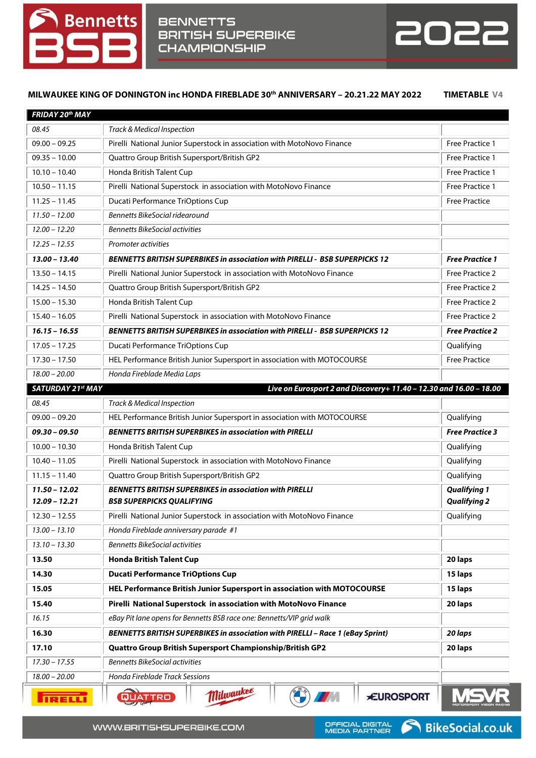

## **BENNETTS BRITISH SUPERBIKE CHAMPIONSHIP**



## **MILWAUKEE KING OF DONINGTON inc HONDA FIREBLADE 30th ANNIVERSARY – 20.21.22 MAY 2022 TIMETABLE V4**

| FRIDAY 20th MAY          |                                                                                                                |                        |
|--------------------------|----------------------------------------------------------------------------------------------------------------|------------------------|
| 08.45                    | Track & Medical Inspection                                                                                     |                        |
| $09.00 - 09.25$          | Pirelli National Junior Superstock in association with MotoNovo Finance                                        | Free Practice 1        |
| $09.35 - 10.00$          | Quattro Group British Supersport/British GP2                                                                   | Free Practice 1        |
| $10.10 - 10.40$          | Honda British Talent Cup                                                                                       | Free Practice 1        |
| $10.50 - 11.15$          | Pirelli National Superstock in association with MotoNovo Finance                                               | Free Practice 1        |
| $11.25 - 11.45$          | Ducati Performance TriOptions Cup                                                                              | <b>Free Practice</b>   |
| $11.50 - 12.00$          | Bennetts BikeSocial ridearound                                                                                 |                        |
| $12.00 - 12.20$          | <b>Bennetts BikeSocial activities</b>                                                                          |                        |
| $12.25 - 12.55$          | Promoter activities                                                                                            |                        |
| $13.00 - 13.40$          | <b>BENNETTS BRITISH SUPERBIKES in association with PIRELLI - BSB SUPERPICKS 12</b>                             | <b>Free Practice 1</b> |
| $13.50 - 14.15$          | Pirelli National Junior Superstock in association with MotoNovo Finance                                        | Free Practice 2        |
| $14.25 - 14.50$          | Quattro Group British Supersport/British GP2                                                                   | Free Practice 2        |
| $15.00 - 15.30$          | Honda British Talent Cup                                                                                       | Free Practice 2        |
| $15.40 - 16.05$          | Pirelli National Superstock in association with MotoNovo Finance                                               | Free Practice 2        |
| $16.15 - 16.55$          | <b>BENNETTS BRITISH SUPERBIKES in association with PIRELLI - BSB SUPERPICKS 12</b>                             | <b>Free Practice 2</b> |
| $17.05 - 17.25$          | Ducati Performance TriOptions Cup                                                                              | Qualifying             |
| $17.30 - 17.50$          | HEL Performance British Junior Supersport in association with MOTOCOURSE                                       | <b>Free Practice</b>   |
| $18.00 - 20.00$          | Honda Fireblade Media Laps                                                                                     |                        |
| <b>SATURDAY 21st MAY</b> | Live on Eurosport 2 and Discovery+ 11.40 - 12.30 and 16.00 - 18.00                                             |                        |
| 08.45                    | Track & Medical Inspection                                                                                     |                        |
| $09.00 - 09.20$          | HEL Performance British Junior Supersport in association with MOTOCOURSE                                       | Qualifying             |
| $09.30 - 09.50$          | <b>BENNETTS BRITISH SUPERBIKES in association with PIRELLI</b>                                                 | <b>Free Practice 3</b> |
| $10.00 - 10.30$          | Honda British Talent Cup                                                                                       | Qualifying             |
| $10.40 - 11.05$          | Pirelli National Superstock in association with MotoNovo Finance                                               | Qualifying             |
| $11.15 - 11.40$          | Quattro Group British Supersport/British GP2                                                                   | Qualifying             |
| $11.50 - 12.02$          | <b>BENNETTS BRITISH SUPERBIKES in association with PIRELLI</b>                                                 | <b>Qualifying 1</b>    |
| $12.09 - 12.21$          | <b>BSB SUPERPICKS QUALIFYING</b>                                                                               | <b>Qualifying 2</b>    |
| $12.30 - 12.55$          | Pirelli National Junior Superstock in association with MotoNovo Finance                                        | Qualifying             |
| $13.00 - 13.10$          | Honda Fireblade anniversary parade #1                                                                          |                        |
| $13.10 - 13.30$          | <b>Bennetts BikeSocial activities</b>                                                                          |                        |
| 13.50                    | <b>Honda British Talent Cup</b>                                                                                | 20 laps                |
| 14.30                    | <b>Ducati Performance TriOptions Cup</b>                                                                       | 15 laps                |
| 15.05                    | HEL Performance British Junior Supersport in association with MOTOCOURSE                                       | 15 laps                |
| 15.40                    | Pirelli National Superstock in association with MotoNovo Finance                                               | 20 laps                |
| 16.15                    | eBay Pit lane opens for Bennetts BSB race one: Bennetts/VIP grid walk                                          |                        |
| 16.30                    | <b>BENNETTS BRITISH SUPERBIKES in association with PIRELLI - Race 1 (eBay Sprint)</b>                          | 20 laps                |
| 17.10                    | Quattro Group British Supersport Championship/British GP2                                                      | 20 laps                |
| $17.30 - 17.55$          | <b>Bennetts BikeSocial activities</b>                                                                          |                        |
| $18.00 - 20.00$          | Honda Fireblade Track Sessions                                                                                 |                        |
| <b>TRELL!</b>            | <b>QUATTRO</b><br>Milwaukee<br>$\begin{pmatrix} 1 & 0 \\ 0 & 1 \end{pmatrix}$<br><b>*EUROSPORT</b><br><b>A</b> |                        |

WWW.BRITISHSUPERBIKE.COM